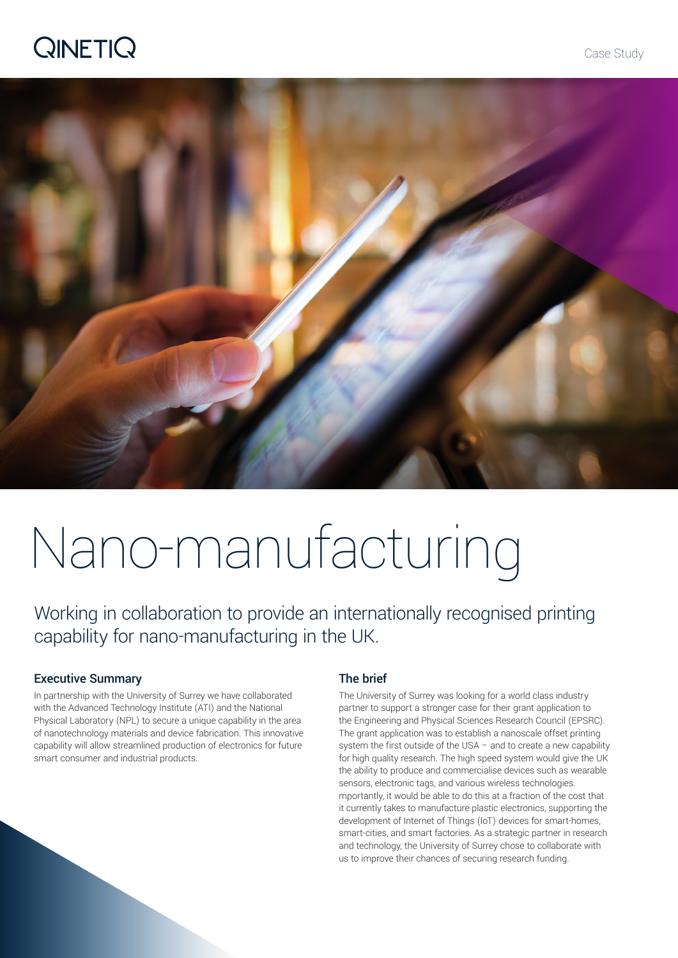# **QINETIQ**



# Nano-manufacturing

Working in collaboration to provide an internationally recognised printing capability for nano-manufacturing in the UK.

## Executive Summary

In partnership with the University of Surrey we have collaborated with the Advanced Technology Institute (ATI) and the National Physical Laboratory (NPL) to secure a unique capability in the area of nanotechnology materials and device fabrication. This innovative capability will allow streamlined production of electronics for future smart consumer and industrial products.

## The brief

The University of Surrey was looking for a world class industry partner to support a stronger case for their grant application to the Engineering and Physical Sciences Research Council (EPSRC). The grant application was to establish a nanoscale offset printing system the first outside of the USA – and to create a new capability for high quality research. The high speed system would give the UK the ability to produce and commercialise devices such as wearable sensors, electronic tags, and various wireless technologies. mportantly, it would be able to do this at a fraction of the cost that it currently takes to manufacture plastic electronics, supporting the development of Internet of Things (IoT) devices for smart-homes, smart-cities, and smart factories. As a strategic partner in research and technology, the University of Surrey chose to collaborate with us to improve their chances of securing research funding.